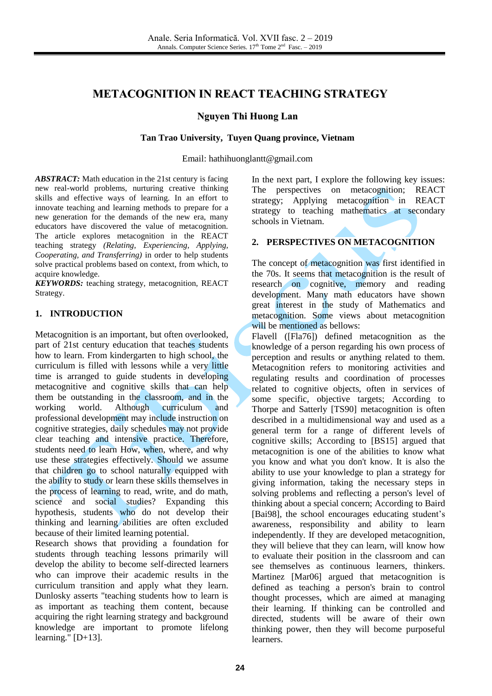# **METACOGNITION IN REACT TEACHING STRATEGY**

#### **Nguyen Thi Huong Lan**

#### **Tan Trao University, Tuyen Quang province, Vietnam**

Email: hathihuonglantt@gmail.com

*ABSTRACT:* Math education in the 21st century is facing new real-world problems, nurturing creative thinking skills and effective ways of learning. In an effort to innovate teaching and learning methods to prepare for a new generation for the demands of the new era, many educators have discovered the value of metacognition. The article explores metacognition in the REACT teaching strategy *(Relating, Experiencing, Applying, Cooperating, and Transferring)* in order to help students solve practical problems based on context, from which, to acquire knowledge.

*KEYWORDS:* teaching strategy, metacognition, REACT Strategy.

#### **1. INTRODUCTION**

Metacognition is an important, but often overlooked, part of 21st century education that teaches students how to learn. From kindergarten to high school, the curriculum is filled with lessons while a very little time is arranged to guide students in developing metacognitive and cognitive skills that can help them be outstanding in the classroom, and in the working world. Although curriculum and professional development may include instruction on cognitive strategies, daily schedules may not provide clear teaching and intensive practice. Therefore, students need to learn How, when, where, and why use these strategies effectively. Should we assume that children go to school naturally equipped with the ability to study or learn these skills themselves in the process of learning to read, write, and do math, science and social studies? Expanding this hypothesis, students who do not develop their thinking and learning abilities are often excluded because of their limited learning potential.

Research shows that providing a foundation for students through teaching lessons primarily will develop the ability to become self-directed learners who can improve their academic results in the curriculum transition and apply what they learn. Dunlosky asserts "teaching students how to learn is as important as teaching them content, because acquiring the right learning strategy and background knowledge are important to promote lifelong learning."  $[D+13]$ .

In the next part, I explore the following key issues: The perspectives on metacognition; REACT strategy; Applying metacognition in REACT strategy to teaching mathematics at secondary schools in Vietnam.

# **2. PERSPECTIVES ON METACOGNITION**

The concept of metacognition was first identified in the 70s. It seems that metacognition is the result of research on cognitive, memory and reading development. Many math educators have shown great interest in the study of Mathematics and metacognition. Some views about metacognition will be mentioned as bellows:

Flavell ([Fla76]) defined metacognition as the knowledge of a person regarding his own process of perception and results or anything related to them. Metacognition refers to monitoring activities and regulating results and coordination of processes related to cognitive objects, often in services of some specific, objective targets; According to Thorpe and Satterly [TS90] metacognition is often described in a multidimensional way and used as a general term for a range of different levels of cognitive skills; According to [BS15] argued that metacognition is one of the abilities to know what you know and what you don't know. It is also the ability to use your knowledge to plan a strategy for giving information, taking the necessary steps in solving problems and reflecting a person's level of thinking about a special concern; According to Baird [Bai98], the school encourages educating student's awareness, responsibility and ability to learn independently. If they are developed metacognition, they will believe that they can learn, will know how to evaluate their position in the classroom and can see themselves as continuous learners, thinkers. Martinez [Mar06] argued that metacognition is defined as teaching a person's brain to control thought processes, which are aimed at managing their learning. If thinking can be controlled and directed, students will be aware of their own thinking power, then they will become purposeful learners.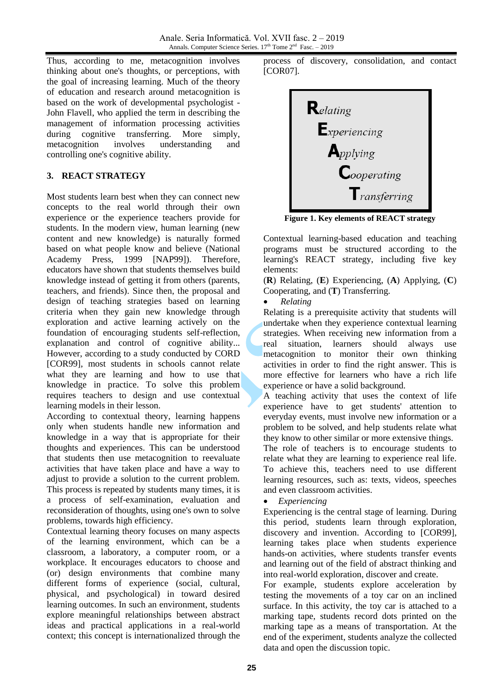Thus, according to me, metacognition involves thinking about one's thoughts, or perceptions, with the goal of increasing learning. Much of the theory of education and research around metacognition is based on the work of developmental psychologist - John Flavell, who applied the term in describing the management of information processing activities during cognitive transferring. More simply, metacognition involves understanding and controlling one's cognitive ability.

## **3. REACT STRATEGY**

Most students learn best when they can connect new concepts to the real world through their own experience or the experience teachers provide for students. In the modern view, human learning (new content and new knowledge) is naturally formed based on what people know and believe (National Academy Press, 1999 [NAP99]). Therefore, educators have shown that students themselves build knowledge instead of getting it from others (parents, teachers, and friends). Since then, the proposal and design of teaching strategies based on learning criteria when they gain new knowledge through exploration and active learning actively on the foundation of encouraging students self-reflection, explanation and control of cognitive ability... However, according to a study conducted by CORD [COR99], most students in schools cannot relate what they are learning and how to use that knowledge in practice. To solve this problem requires teachers to design and use contextual learning models in their lesson.

According to contextual theory, learning happens only when students handle new information and knowledge in a way that is appropriate for their thoughts and experiences. This can be understood that students then use metacognition to reevaluate activities that have taken place and have a way to adjust to provide a solution to the current problem. This process is repeated by students many times, it is a process of self-examination, evaluation and reconsideration of thoughts, using one's own to solve problems, towards high efficiency.

Contextual learning theory focuses on many aspects of the learning environment, which can be a classroom, a laboratory, a computer room, or a workplace. It encourages educators to choose and (or) design environments that combine many different forms of experience (social, cultural, physical, and psychological) in toward desired learning outcomes. In such an environment, students explore meaningful relationships between abstract ideas and practical applications in a real-world context; this concept is internationalized through the

process of discovery, consolidation, and contact [COR07].



**Figure 1. Key elements of REACT strategy**

Contextual learning-based education and teaching programs must be structured according to the learning's REACT strategy, including five key elements:

(**R**) Relating, (**E**) Experiencing, (**A**) Applying, (**C**) Cooperating, and (**T**) Transferring.

*Relating*

Relating is a prerequisite activity that students will undertake when they experience contextual learning strategies. When receiving new information from a real situation, learners should always use metacognition to monitor their own thinking activities in order to find the right answer. This is more effective for learners who have a rich life experience or have a solid background.

A teaching activity that uses the context of life experience have to get students' attention to everyday events, must involve new information or a problem to be solved, and help students relate what they know to other similar or more extensive things.

The role of teachers is to encourage students to relate what they are learning to experience real life. To achieve this, teachers need to use different learning resources, such as: texts, videos, speeches and even classroom activities.

## *Experiencing*

Experiencing is the central stage of learning. During this period, students learn through exploration, discovery and invention. According to [COR99], learning takes place when students experience hands-on activities, where students transfer events and learning out of the field of abstract thinking and into real-world exploration, discover and create.

For example, students explore acceleration by testing the movements of a toy car on an inclined surface. In this activity, the toy car is attached to a marking tape, students record dots printed on the marking tape as a means of transportation. At the end of the experiment, students analyze the collected data and open the discussion topic.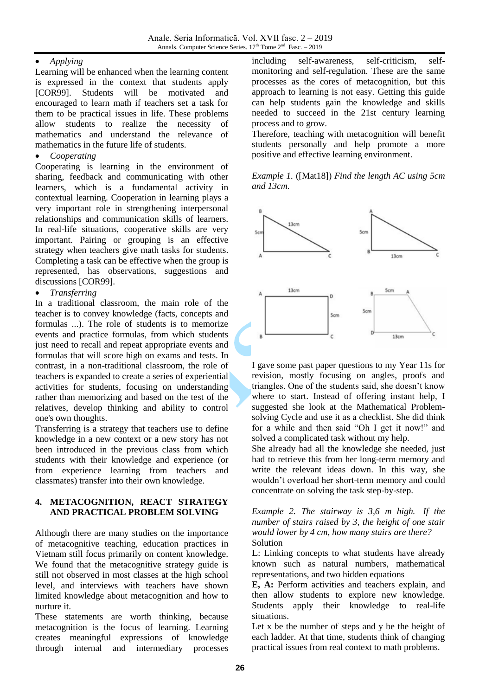# *Applying*

Learning will be enhanced when the learning content is expressed in the context that students apply [COR99]. Students will be motivated and encouraged to learn math if teachers set a task for them to be practical issues in life. These problems allow students to realize the necessity of mathematics and understand the relevance of mathematics in the future life of students.

#### *Cooperating*

Cooperating is learning in the environment of sharing, feedback and communicating with other learners, which is a fundamental activity in contextual learning. Cooperation in learning plays a very important role in strengthening interpersonal relationships and communication skills of learners. In real-life situations, cooperative skills are very important. Pairing or grouping is an effective strategy when teachers give math tasks for students. Completing a task can be effective when the group is represented, has observations, suggestions and discussions [COR99].

## *Transferring*

In a traditional classroom, the main role of the teacher is to convey knowledge (facts, concepts and formulas ...). The role of students is to memorize events and practice formulas, from which students just need to recall and repeat appropriate events and formulas that will score high on exams and tests. In contrast, in a non-traditional classroom, the role of teachers is expanded to create a series of experiential activities for students, focusing on understanding rather than memorizing and based on the test of the relatives, develop thinking and ability to control one's own thoughts.

Transferring is a strategy that teachers use to define knowledge in a new context or a new story has not been introduced in the previous class from which students with their knowledge and experience (or from experience learning from teachers and classmates) transfer into their own knowledge.

## **4. METACOGNITION, REACT STRATEGY AND PRACTICAL PROBLEM SOLVING**

Although there are many studies on the importance of metacognitive teaching, education practices in Vietnam still focus primarily on content knowledge. We found that the metacognitive strategy guide is still not observed in most classes at the high school level, and interviews with teachers have shown limited knowledge about metacognition and how to nurture it.

These statements are worth thinking, because metacognition is the focus of learning. Learning creates meaningful expressions of knowledge through internal and intermediary processes including self-awareness, self-criticism, selfmonitoring and self-regulation. These are the same processes as the cores of metacognition, but this approach to learning is not easy. Getting this guide can help students gain the knowledge and skills needed to succeed in the 21st century learning process and to grow.

Therefore, teaching with metacognition will benefit students personally and help promote a more positive and effective learning environment.

*Example 1.* ([Mat18]) *Find the length AC using 5cm and 13cm.*



I gave some past paper questions to my Year 11s for revision, mostly focusing on angles, proofs and triangles. One of the students said, she doesn't know where to start. Instead of offering instant help, I suggested she look at the Mathematical Problemsolving Cycle and use it as a checklist. She did think for a while and then said "Oh I get it now!" and solved a complicated task without my help.

She already had all the knowledge she needed, just had to retrieve this from her long-term memory and write the relevant ideas down. In this way, she wouldn't overload her short-term memory and could concentrate on solving the task step-by-step.

#### *Example 2. The stairway is 3,6 m high. If the number of stairs raised by 3, the height of one stair would lower by 4 cm, how many stairs are there?* Solution

**L**: Linking concepts to what students have already known such as natural numbers, mathematical representations, and two hidden equations

**E, A:** Perform activities and teachers explain, and then allow students to explore new knowledge. Students apply their knowledge to real-life situations.

Let x be the number of steps and y be the height of each ladder. At that time, students think of changing practical issues from real context to math problems.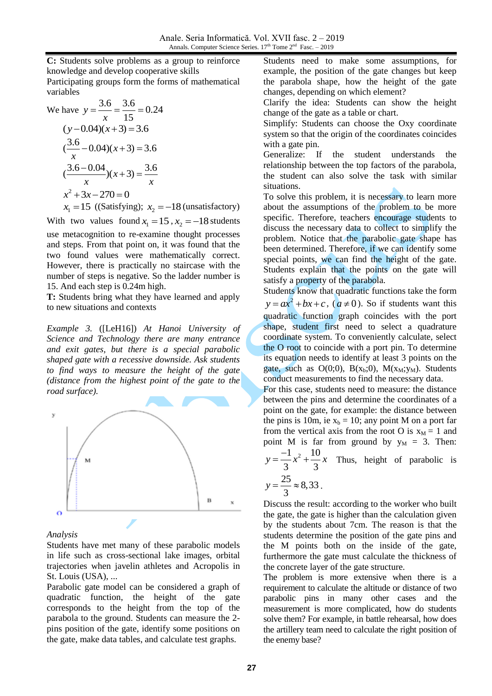**C:** Students solve problems as a group to reinforce knowledge and develop cooperative skills

Participating groups form the forms of mathematical variables

We have 
$$
y = \frac{3.6}{x} = \frac{3.6}{15} = 0.24
$$
  
\n $(y-0.04)(x+3) = 3.6$   
\n $(\frac{3.6}{x} - 0.04)(x+3) = 3.6$   
\n $(\frac{3.6 - 0.04}{x})(x+3) = \frac{3.6}{x}$   
\n $x^2 + 3x - 270 = 0$ 

 $x_1 = 15$  ((Satisfying);  $x_2 = -18$  (unsatisfactory)

With two values found  $x_1 = 15$ ,  $x_2 = -18$  students use metacognition to re-examine thought processes and steps. From that point on, it was found that the two found values were mathematically correct. However, there is practically no staircase with the number of steps is negative. So the ladder number is 15. And each step is 0.24m high.

**T:** Students bring what they have learned and apply to new situations and contexts

*Example 3.* ([LeH16]) *At Hanoi University of Science and Technology there are many entrance and exit gates, but there is a special parabolic shaped gate with a recessive downside. Ask students to find ways to measure the height of the gate (distance from the highest point of the gate to the road surface).*



#### *Analysis*

Students have met many of these parabolic models in life such as cross-sectional lake images, orbital trajectories when javelin athletes and Acropolis in St. Louis (USA), ...

Parabolic gate model can be considered a graph of quadratic function, the height of the gate corresponds to the height from the top of the parabola to the ground. Students can measure the 2 pins position of the gate, identify some positions on the gate, make data tables, and calculate test graphs.

Students need to make some assumptions, for example, the position of the gate changes but keep the parabola shape, how the height of the gate changes, depending on which element?

Clarify the idea: Students can show the height change of the gate as a table or chart.

Simplify: Students can choose the Oxy coordinate system so that the origin of the coordinates coincides with a gate pin.

Generalize: If the student understands the relationship between the top factors of the parabola, the student can also solve the task with similar situations.

To solve this problem, it is necessary to learn more about the assumptions of the problem to be more specific. Therefore, teachers encourage students to discuss the necessary data to collect to simplify the problem. Notice that the parabolic gate shape has been determined. Therefore, if we can identify some special points, we can find the height of the gate. Students explain that the points on the gate will satisfy a property of the parabola.

Students know that quadratic functions take the form  $y = ax^2 + bx + c$ ,  $(a \ne 0)$ . So if students want this quadratic function graph coincides with the port shape, student first need to select a quadrature coordinate system. To conveniently calculate, select the O root to coincide with a port pin. To determine its equation needs to identify at least 3 points on the gate, such as  $O(0,0)$ ,  $B(x_b,0)$ ,  $M(x_M,y_M)$ . Students conduct measurements to find the necessary data.

For this case, students need to measure: the distance between the pins and determine the coordinates of a point on the gate, for example: the distance between the pins is 10m, ie  $x_b = 10$ ; any point M on a port far from the vertical axis from the root O is  $x_M = 1$  and point M is far from ground by  $y_M = 3$ . Then:  $y = \frac{-1}{2}x^2 + \frac{10}{2}x$ 

$$
y = \frac{1}{3}x^2 + \frac{16}{3}x
$$
 Thus, height of parabolic is

$$
y = \frac{25}{3} \approx 8,33.
$$

Discuss the result: according to the worker who built the gate, the gate is higher than the calculation given by the students about 7cm. The reason is that the students determine the position of the gate pins and the M points both on the inside of the gate, furthermore the gate must calculate the thickness of the concrete layer of the gate structure.

The problem is more extensive when there is a requirement to calculate the altitude or distance of two parabolic pins in many other cases and the measurement is more complicated, how do students solve them? For example, in battle rehearsal, how does the artillery team need to calculate the right position of the enemy base?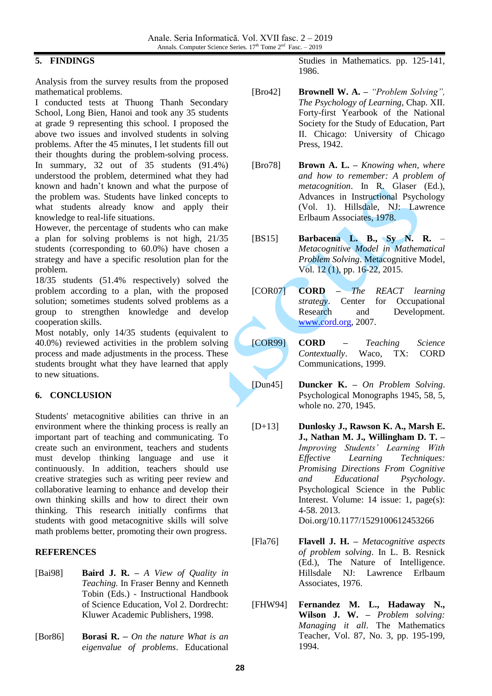# **5. FINDINGS**

Analysis from the survey results from the proposed mathematical problems.

I conducted tests at Thuong Thanh Secondary School, Long Bien, Hanoi and took any 35 students at grade 9 representing this school. I proposed the above two issues and involved students in solving problems. After the 45 minutes, I let students fill out their thoughts during the problem-solving process. In summary, 32 out of 35 students (91.4%) understood the problem, determined what they had known and hadn't known and what the purpose of the problem was. Students have linked concepts to what students already know and apply their knowledge to real-life situations.

However, the percentage of students who can make a plan for solving problems is not high, 21/35 students (corresponding to 60.0%) have chosen a strategy and have a specific resolution plan for the problem.

18/35 students (51.4% respectively) solved the problem according to a plan, with the proposed solution; sometimes students solved problems as a group to strengthen knowledge and develop cooperation skills.

Most notably, only 14/35 students (equivalent to 40.0%) reviewed activities in the problem solving process and made adjustments in the process. These students brought what they have learned that apply to new situations.

## **6. CONCLUSION**

Students' metacognitive abilities can thrive in an environment where the thinking process is really an important part of teaching and communicating. To create such an environment, teachers and students must develop thinking language and use it continuously. In addition, teachers should use creative strategies such as writing peer review and collaborative learning to enhance and develop their own thinking skills and how to direct their own thinking. This research initially confirms that students with good metacognitive skills will solve math problems better, promoting their own progress.

## **REFERENCES**

- [Bai98] **Baird J. R. –** *A View of Quality in Teaching.* In Fraser Benny and Kenneth Tobin (Eds.) - Instructional Handbook of Science Education, Vol 2. Dordrecht: Kluwer Academic Publishers, 1998.
- [Bor86] **Borasi R. –** *On the nature What is an eigenvalue of problems*. Educational

Studies in Mathematics. pp. 125-141, 1986.

- [Bro42] **Brownell W. A. –** *"Problem Solving", The Psychology of Learning*, Chap. XII. Forty-first Yearbook of the National Society for the Study of Education, Part II. Chicago: University of Chicago Press, 1942.
- [Bro78] **Brown A. L. –** *Knowing when, where and how to remember: A problem of metacognition*. In R. Glaser (Ed.), Advances in Instructional Psychology (Vol. 1). Hillsdale, NJ: Lawrence Erlbaum Associates, 1978.
- [BS15] **Barbacena L. B., Sy N. R.** *Metacognitive Model in Mathematical Problem Solving*. Metacognitive Model, Vol. 12 (1), pp. 16-22, 2015.
- [COR07] **CORD –** *The REACT learning strategy*. Center for Occupational Research and Development. [www.cord.org,](http://www.cord.org/) 2007.
- [COR99] **CORD –** *Teaching Science Contextually*. Waco, TX: CORD Communications, 1999.
- [Dun45] **Duncker K. –** *On Problem Solving*. Psychological Monographs 1945, 58, 5, whole no. 270, 1945.
	- [D+13] **Dunlosky J., Rawson K. A., Marsh E. J., Nathan M. J., Willingham D. T. –** *Improving Students' Learning With Effective Learning Techniques: Promising Directions From Cognitive and Educational Psychology*. Psychological Science in the Public Interest. Volume: 14 issue: 1, page(s): 4-58. 2013. Doi.org/10.1177/1529100612453266

[Fla76] **Flavell J. H. –** *Metacognitive aspects of problem solving*. In L. B. Resnick (Ed.), The Nature of Intelligence. Hillsdale NJ: Lawrence Erlbaum Associates, 1976.

[FHW94] **Fernandez M. L., Hadaway N., Wilson J. W. –** *Problem solving: Managing it all*. The Mathematics Teacher, Vol. 87, No. 3, pp. 195-199, 1994.